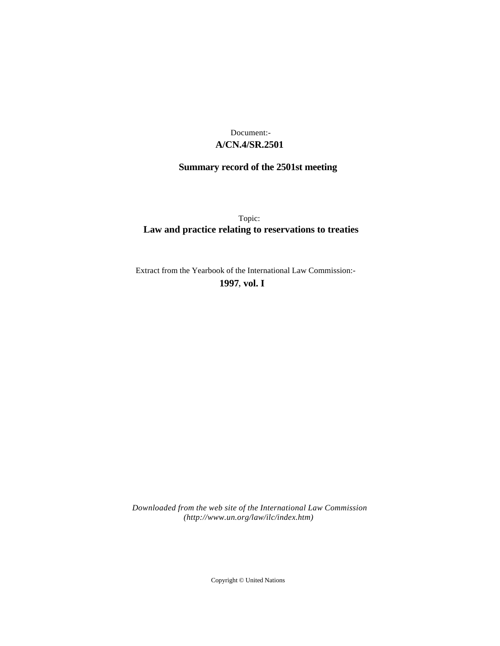# **A/CN.4/SR.2501** Document:-

# **Summary record of the 2501st meeting**

Topic: **Law and practice relating to reservations to treaties**

Extract from the Yearbook of the International Law Commission:-

**1997** , **vol. I**

*Downloaded from the web site of the International Law Commission (http://www.un.org/law/ilc/index.htm)*

Copyright © United Nations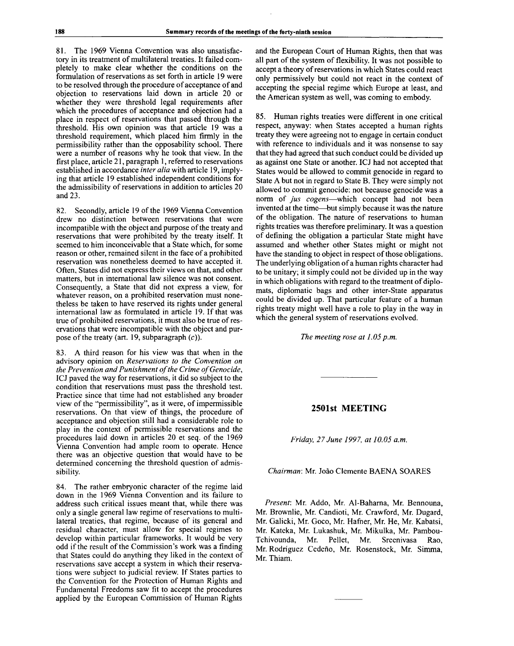81. The 1969 Vienna Convention was also unsatisfactory in its treatment of multilateral treaties. It failed completely to make clear whether the conditions on the formulation of reservations as set forth in article 19 were to be resolved through the procedure of acceptance of and objection to reservations laid down in article 20 or whether they were threshold legal requirements after which the procedures of acceptance and objection had a place in respect of reservations that passed through the threshold. His own opinion was that article 19 was a threshold requirement, which placed him firmly in the permissibility rather than the opposability school. There were a number of reasons why he took that view. In the first place, article 21, paragraph 1, referred to reservations established in accordance *inter alia* with article 19, implying that article 19 established independent conditions for the admissibility of reservations in addition to articles 20 and 23.

82. Secondly, article 19 of the 1969 Vienna Convention drew no distinction between reservations that were incompatible with the object and purpose of the treaty and reservations that were prohibited by the treaty itself. It seemed to him inconceivable that a State which, for some reason or other, remained silent in the face of a prohibited reservation was nonetheless deemed to have accepted it. Often, States did not express their views on that, and other matters, but in international law silence was not consent. Consequently, a State that did not express a view, for whatever reason, on a prohibited reservation must nonetheless be taken to have reserved its rights under general international law as formulated in article 19. If that was true of prohibited reservations, it must also be true of reservations that were incompatible with the object and purpose of the treaty (art. 19, subparagraph *(c)).*

83. A third reason for his view was that when in the advisory opinion on *Reservations to the Convention on the Prevention and Punishment of the Crime of Genocide,* ICJ paved the way for reservations, it did so subject to the condition that reservations must pass the threshold test. Practice since that time had not established any broader view of the "permissibility", as it were, of impermissible reservations. On that view of things, the procedure of acceptance and objection still had a considerable role to play in the context of permissible reservations and the procedures laid down in articles 20 et seq. of the 1969 Vienna Convention had ample room to operate. Hence there was an objective question that would have to be determined concerning the threshold question of admissibility.

84. The rather embryonic character of the regime laid down in the 1969 Vienna Convention and its failure to address such critical issues meant that, while there was only a single general law regime of reservations to multilateral treaties, that regime, because of its general and residual character, must allow for special regimes to develop within particular frameworks. It would be very odd if the result of the Commission's work was a finding that States could do anything they liked in the context of reservations save accept a system in which their reservations were subject to judicial review. If States parties to the Convention for the Protection of Human Rights and Fundamental Freedoms saw fit to accept the procedures applied by the European Commission of Human Rights

and the European Court of Human Rights, then that was all part of the system of flexibility. It was not possible to accept a theory of reservations in which States could react only permissively but could not react in the context of accepting the special regime which Europe at least, and the American system as well, was coming to embody.

85. Human rights treaties were different in one critical respect, anyway: when States accepted a human rights treaty they were agreeing not to engage in certain conduct with reference to individuals and it was nonsense to say that they had agreed that such conduct could be divided up as against one State or another. ICJ had not accepted that States would be allowed to commit genocide in regard to State A but not in regard to State B. They were simply not allowed to commit genocide: not because genocide was a norm of *jus cogens*—which concept had not been invented at the time—but simply because it was the nature of the obligation. The nature of reservations to human rights treaties was therefore preliminary. It was a question of defining the obligation a particular State might have assumed and whether other States might or might not have the standing to object in respect of those obligations. The underlying obligation of a human rights character had to be unitary; it simply could not be divided up in the way in which obligations with regard to the treatment of diplomats, diplomatic bags and other inter-State apparatus could be divided up. That particular feature of a human rights treaty might well have a role to play in the way in which the general system of reservations evolved.

*The meeting rose at 1.05 p.m.*

## **2501st MEETING**

*Friday, 27 June 1997, at 10.05 a.m.*

*Chairman:* Mr. Joao Clemente BAENA SOARES

*Present:* Mr. Addo, Mr. Al-Baharna, Mr. Bennouna, Mr. Brownlie, Mr. Candioti, Mr. Crawford, Mr. Dugard, Mr. Galicki, Mr. Goco, Mr. Hafner, Mr. He, Mr. Kabatsi, Mr. Kateka, Mr. Lukashuk, Mr. Mikulka, Mr. Pambou-Tchivounda, Mr. Pellet, Mr. Sreenivasa Rao, Mr. Rodriguez Cedeno, Mr. Rosenstock, Mr. Simma, Mr. Thiam.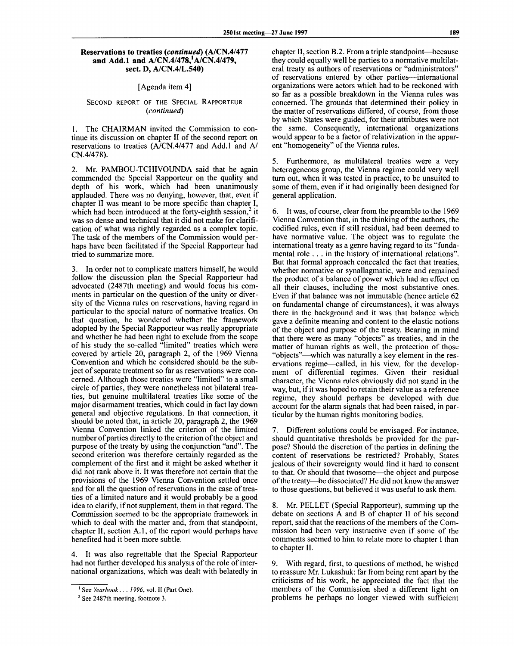#### **Reservations to treaties** *(continued)* **(A/CN.4/477 and Add.l and A/CN.4/478,!A/CN.4/479, sect. D, A/CN.4/L.540)**

#### [Agenda item 4]

#### SECOND REPORT OF THE SPECIAL RAPPORTEUR *(continued)*

1. The CHAIRMAN invited the Commission to continue its discussion on chapter II of the second report on reservations to treaties (A/CN.4/477 and Add.l and A/ CN.4/478).

2. Mr. PAMBOU-TCHIVOUNDA said that he again commended the Special Rapporteur on the quality and depth of his work, which had been unanimously applauded. There was no denying, however, that, even if chapter II was meant to be more specific than chapter I, which had been introduced at the forty-eighth session,<sup>2</sup> it was so dense and technical that it did not make for clarification of what was rightly regarded as a complex topic. The task of the members of the Commission would perhaps have been facilitated if the Special Rapporteur had tried to summarize more.

3. In order not to complicate matters himself, he would follow the discussion plan the Special Rapporteur had advocated (2487th meeting) and would focus his comments in particular on the question of the unity or diversity of the Vienna rules on reservations, having regard in particular to the special nature of normative treaties. On that question, he wondered whether the framework adopted by the Special Rapporteur was really appropriate and whether he had been right to exclude from the scope of his study the so-called "limited" treaties which were covered by article 20, paragraph 2, of the 1969 Vienna Convention and which he considered should be the subject of separate treatment so far as reservations were concerned. Although those treaties were "limited" to a small circle of parties, they were nonetheless not bilateral treaties, but genuine multilateral treaties like some of the major disarmament treaties, which could in fact lay down general and objective regulations. In that connection, it should be noted that, in article 20, paragraph 2, the 1969 Vienna Convention linked the criterion of the limited number of parties directly to the criterion of the object and purpose of the treaty by using the conjunction "and". The second criterion was therefore certainly regarded as the complement of the first and it might be asked whether it did not rank above it. It was therefore not certain that the provisions of the 1969 Vienna Convention settled once and for all the question of reservations in the case of treaties of a limited nature and it would probably be a good idea to clarify, if not supplement, them in that regard. The Commission seemed to be the appropriate framework in which to deal with the matter and, from that standpoint, chapter II, section A.I, of the report would perhaps have benefited had it been more subtle.

4. It was also regrettable that the Special Rapporteur had not further developed his analysis of the role of international organizations, which was dealt with belatedly in chapter II, section B.2. From a triple standpoint—because they could equally well be parties to a normative multilateral treaty as authors of reservations or "administrators" of reservations entered by other parties—international organizations were actors which had to be reckoned with so far as a possible breakdown in the Vienna rules was concerned. The grounds that determined their policy in the matter of reservations differed, of course, from those by which States were guided, for their attributes were not the same. Consequently, international organizations would appear to be a factor of relativization in the apparent "homogeneity" of the Vienna rules.

5. Furthermore, as multilateral treaties were a very heterogeneous group, the Vienna regime could very well turn out, when it was tested in practice, to be unsuited to some of them, even if it had originally been designed for general application.

6. It was, of course, clear from the preamble to the 1969 Vienna Convention that, in the thinking of the authors, the codified rules, even if still residual, had been deemed to have normative value. The object was to regulate the international treaty as a genre having regard to its "fundamental role .. . in the history of international relations". But that formal approach concealed the fact that treaties, whether normative or synallagmatic, were and remained the product of a balance of power which had an effect on all their clauses, including the most substantive ones. Even if that balance was not immutable (hence article 62 on fundamental change of circumstances), it was always there in the background and it was that balance which gave a definite meaning and content to the elastic notions of the object and purpose of the treaty. Bearing in mind that there were as many "objects" as treaties, and in the matter of human rights as well, the protection of those "objects"—which was naturally a key element in the reservations regime—called, in his view, for the development of differential regimes. Given their residual character, the Vienna rules obviously did not stand in the way, but, if it was hoped to retain their value as a reference regime, they should perhaps be developed with due account for the alarm signals that had been raised, in particular by the human rights monitoring bodies.

7. Different solutions could be envisaged. For instance, should quantitative thresholds be provided for the purpose? Should the discretion of the parties in defining the content of reservations be restricted? Probably, States jealous of their sovereignty would find it hard to consent to that. Or should that twosome—the object and purpose of the treaty—be dissociated? He did not know the answer to those questions, but believed it was useful to ask them.

8. Mr. PELLET (Special Rapporteur), summing up the debate on sections A and B of chapter II of his second report, said that the reactions of the members of the Commission had been very instructive even if some of the comments seemed to him to relate more to chapter I than to chapter II.

9. With regard, first, to questions of method, he wished to reassure Mr. Lukashuk: far from being rent apart by the criticisms of his work, he appreciated the fact that the members of the Commission shed a different light on problems he perhaps no longer viewed with sufficient

<sup>1</sup> See *Yearbook . . . 1996,* vol. II (Part One).

 $2$  See 2487th meeting, footnote 3.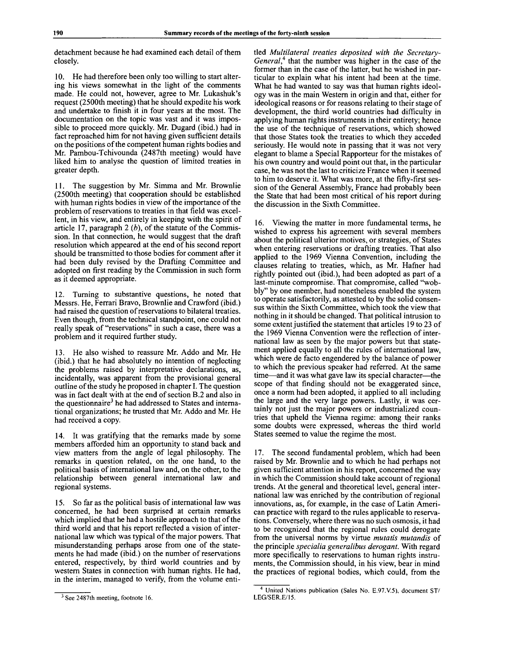detachment because he had examined each detail of them closely.

10. He had therefore been only too willing to start altering his views somewhat in the light of the comments made. He could not, however, agree to Mr. Lukashuk's request (2500th meeting) that he should expedite his work and undertake to finish it in four years at the most. The documentation on the topic was vast and it was impossible to proceed more quickly. Mr. Dugard (ibid.) had in fact reproached him for not having given sufficient details on the positions of the competent human rights bodies and Mr. Pambou-Tchivounda (2487th meeting) would have liked him to analyse the question of limited treaties in greater depth.

11. The suggestion by Mr. Simma and Mr. Brownlie (2500th meeting) that cooperation should be established with human rights bodies in view of the importance of the problem of reservations to treaties in that field was excellent, in his view, and entirely in keeping with the spirit of article 17, paragraph 2 *(b),* of the statute of the Commission. In that connection, he would suggest that the draft resolution which appeared at the end of his second report should be transmitted to those bodies for comment after it had been duly revised by the Drafting Committee and adopted on first reading by the Commission in such form as it deemed appropriate.

12. Turning to substantive questions, he noted that Messrs. He, Ferrari Bravo, Brownlie and Crawford (ibid.) had raised the question of reservations to bilateral treaties. Even though, from the technical standpoint, one could not really speak of "reservations" in such a case, there was a problem and it required further study.

13. He also wished to reassure Mr. Addo and Mr. He (ibid.) that he had absolutely no intention of neglecting the problems raised by interpretative declarations, as, incidentally, was apparent from the provisional general outline of the study he proposed in chapter I. The question was in fact dealt with at the end of section B.2 and also in the questionnaire<sup>3</sup> he had addressed to States and international organizations; he trusted that Mr. Addo and Mr. He had received a copy.

14. It was gratifying that the remarks made by some members afforded him an opportunity to stand back and view matters from the angle of legal philosophy. The remarks in question related, on the one hand, to the political basis of international law and, on the other, to the relationship between general international law and regional systems.

15. So far as the political basis of international law was concerned, he had been surprised at certain remarks which implied that he had a hostile approach to that of the third world and that his report reflected a vision of international law which was typical of the major powers. That misunderstanding perhaps arose from one of the statements he had made (ibid.) on the number of reservations entered, respectively, by third world countries and by western States in connection with human rights. He had, in the interim, managed to verify, from the volume entitled *Multilateral treaties deposited with the Secretary-General,<sup>4</sup>* that the number was higher in the case of the former than in the case of the latter, but he wished in particular to explain what his intent had been at the time. What he had wanted to say was that human rights ideology was in the main Western in origin and that, either for ideological reasons or for reasons relating to their stage of development, the third world countries had difficulty in applying human rights instruments in their entirety; hence the use of the technique of reservations, which showed that those States took the treaties to which they acceded seriously. He would note in passing that it was not very elegant to blame a Special Rapporteur for the mistakes of his own country and would point out that, in the particular case, he was not the last to criticize France when it seemed to him to deserve it. What was more, at the fifty-first session of the General Assembly, France had probably been the State that had been most critical of his report during the discussion in the Sixth Committee.

16. Viewing the matter in more fundamental terms, he wished to express his agreement with several members about the political ulterior motives, or strategies, of States when entering reservations or drafting treaties. That also applied to the 1969 Vienna Convention, including the clauses relating to treaties, which, as Mr. Hafner had rightly pointed out (ibid.), had been adopted as part of a last-minute compromise. That compromise, called "wobbly" by one member, had nonetheless enabled the system to operate satisfactorily, as attested to by the solid consensus within the Sixth Committee, which took the view that nothing in it should be changed. That political intrusion to some extent justified the statement that articles 19 to 23 of the 1969 Vienna Convention were the reflection of international law as seen by the major powers but that statement applied equally to all the rules of international law, which were de facto engendered by the balance of power to which the previous speaker had referred. At the same time—and it was what gave law its special character—the scope of that finding should not be exaggerated since, once a norm had been adopted, it applied to all including the large and the very large powers. Lastly, it was certainly not just the major powers or industrialized countries that upheld the Vienna regime: among their ranks some doubts were expressed, whereas the third world States seemed to value the regime the most.

17. The second fundamental problem, which had been raised by Mr. Brownlie and to which he had perhaps not given sufficient attention in his report, concerned the way in which the Commission should take account of regional trends. At the general and theoretical level, general international law was enriched by the contribution of regional innovations, as, for example, in the case of Latin American practice with regard to the rules applicable to reservations. Conversely, where there was no such osmosis, it had to be recognized that the regional rules could derogate from the universal norms by virtue *mutatis mutandis* of the principle *specialia generalibus derogant.* With regard more specifically to reservations to human rights instruments, the Commission should, in his view, bear in mind the practices of regional bodies, which could, from the

 $3$  See 2487th meeting, footnote 16.

<sup>&</sup>lt;sup>4</sup> United Nations publication (Sales No. E.97.V.5), document ST/ LEG/SER.E/15.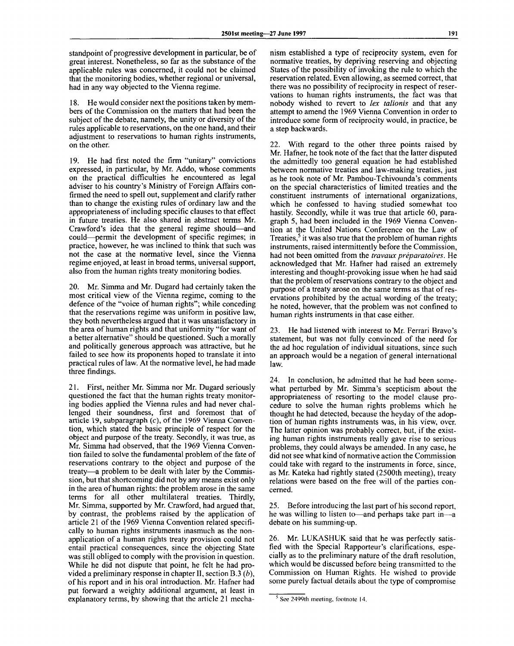standpoint of progressive development in particular, be of great interest. Nonetheless, so far as the substance of the applicable rules was concerned, it could not be claimed that the monitoring bodies, whether regional or universal, had in any way objected to the Vienna regime.

18. He would consider next the positions taken by members of the Commission on the matters that had been the subject of the debate, namely, the unity or diversity of the rules applicable to reservations, on the one hand, and their adjustment to reservations to human rights instruments, on the other.

19. He had first noted the firm "unitary" convictions expressed, in particular, by Mr. Addo, whose comments on the practical difficulties he encountered as legal adviser to his country's Ministry of Foreign Affairs confirmed the need to spell out, supplement and clarify rather than to change the existing rules of ordinary law and the appropriateness of including specific clauses to that effect in future treaties. He also shared in abstract terms Mr. Crawford's idea that the general regime should—and could—permit the development of specific regimes; in practice, however, he was inclined to think that such was not the case at the normative level, since the Vienna regime enjoyed, at least in broad terms, universal support, also from the human rights treaty monitoring bodies.

20. Mr. Simma and Mr. Dugard had certainly taken the most critical view of the Vienna regime, coming to the defence of the "voice of human rights"; while conceding that the reservations regime was uniform in positive law, they both nevertheless argued that it was unsatisfactory in the area of human rights and that uniformity "for want of a better alternative" should be questioned. Such a morally and politically generous approach was attractive, but he failed to see how its proponents hoped to translate it into practical rules of law. At the normative level, he had made three findings.

21. First, neither Mr. Simma nor Mr. Dugard seriously questioned the fact that the human rights treaty monitoring bodies applied the Vienna rules and had never challenged their soundness, first and foremost that of article 19, subparagraph (c), of the 1969 Vienna Convention, which stated the basic principle of respect for the object and purpose of the treaty. Secondly, it was true, as Mr. Simma had observed, that the 1969 Vienna Convention failed to solve the fundamental problem of the fate of reservations contrary to the object and purpose of the treaty—a problem to be dealt with later by the Commission, but that shortcoming did not by any means exist only in the area of human rights: the problem arose in the same terms for all other multilateral treaties. Thirdly, Mr. Simma, supported by Mr. Crawford, had argued that, by contrast, the problems raised by the application of article 21 of the 1969 Vienna Convention related specifically to human rights instruments inasmuch as the nonapplication of a human rights treaty provision could not entail practical consequences, since the objecting State was still obliged to comply with the provision in question. While he did not dispute that point, he felt he had provided a preliminary response in chapter II, section B.3 *(b),* of his report and in his oral introduction. Mr. Hafner had put forward a weighty additional argument, at least in explanatory terms, by showing that the article 21 mechanism established a type of reciprocity system, even for normative treaties, by depriving reserving and objecting States of the possibility of invoking the rule to which the reservation related. Even allowing, as seemed correct, that there was no possibility of reciprocity in respect of reservations to human rights instruments, the fact was that nobody wished to revert to *lex talionis* and that any attempt to amend the 1969 Vienna Convention in order to introduce some form of reciprocity would, in practice, be a step backwards.

22. With regard to the other three points raised by Mr. Hafner, he took note of the fact that the latter disputed the admittedly too general equation he had established between normative treaties and law-making treaties, just as he took note of Mr. Pambou-Tchivounda's comments on the special characteristics of limited treaties and the constituent instruments of international organizations, which he confessed to having studied somewhat too hastily. Secondly, while it was true that article 60, paragraph 5, had been included in the 1969 Vienna Convention at the United Nations Conference on the Law of Treaties,<sup>5</sup> it was also true that the problem of human rights instruments, raised intermittently before the Commission, had not been omitted from the *travaux préparatoires*. He acknowledged that Mr. Hafner had raised an extremely interesting and thought-provoking issue when he had said that the problem of reservations contrary to the object and purpose of a treaty arose on the same terms as that of reservations prohibited by the actual wording of the treaty; he noted, however, that the problem was not confined to human rights instruments in that case either.

23. He had listened with interest to Mr. Ferrari Bravo's statement, but was not fully convinced of the need for the ad hoc regulation of individual situations, since such an approach would be a negation of general international law.

24. In conclusion, he admitted that he had been somewhat perturbed by Mr. Simma's scepticism about the appropriateness of resorting to the model clause procedure to solve the human rights problems which he thought he had detected, because the heyday of the adoption of human rights instruments was, in his view, over. The latter opinion was probably correct, but, if the existing human rights instruments really gave rise to serious problems, they could always be amended. In any case, he did not see what kind of normative action the Commission could take with regard to the instruments in force, since, as Mr. Kateka had rightly stated (2500th meeting), treaty relations were based on the free will of the parties concerned.

25. Before introducing the last part of his second report, he was willing to listen to—and perhaps take part in debate on his summing-up.

26. Mr. LUKASHUK said that he was perfectly satisfied with the Special Rapporteur's clarifications, especially as to the preliminary nature of the draft resolution, which would be discussed before being transmitted to the Commission on Human Rights. He wished to provide some purely factual details about the type of compromise

<sup>&</sup>lt;sup>5</sup> See 2499th meeting, footnote 14.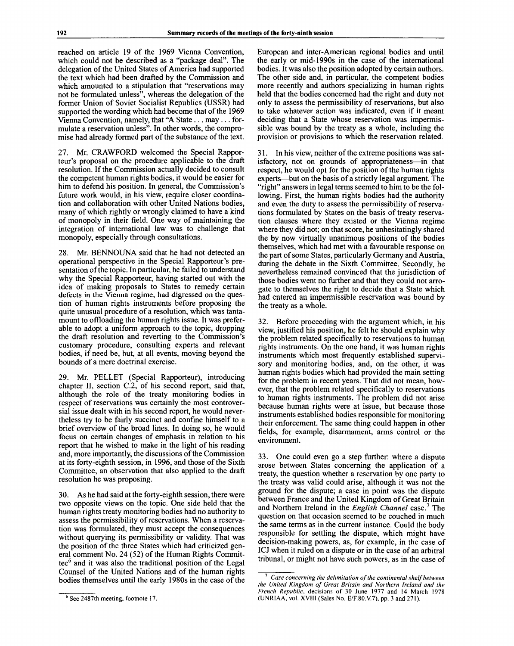reached on article 19 of the 1969 Vienna Convention, which could not be described as a "package deal". The delegation of the United States of America had supported the text which had been drafted by the Commission and which amounted to a stipulation that "reservations may not be formulated unless", whereas the delegation of the former Union of Soviet Socialist Republics (USSR) had supported the wording which had become that of the 1969 Vienna Convention, namely, that "A State .. . may .. . formulate a reservation unless". In other words, the compromise had already formed part of the substance of the text.

27. Mr. CRAWFORD welcomed the Special Rapporteur's proposal on the procedure applicable to the draft resolution. If the Commission actually decided to consult the competent human rights bodies, it would be easier for him to defend his position. In general, the Commission's future work would, in his view, require closer coordination and collaboration with other United Nations bodies, many of which rightly or wrongly claimed to have a kind of monopoly in their field. One way of maintaining the integration of international law was to challenge that monopoly, especially through consultations.

28. Mr. BENNOUNA said that he had not detected an operational perspective in the Special Rapporteur's presentation of the topic. In particular, he failed to understand why the Special Rapporteur, having started out with the idea of making proposals to States to remedy certain defects in the Vienna regime, had digressed on the question of human rights instruments before proposing the quite unusual procedure of a resolution, which was tantamount to offloading the human rights issue. It was preferable to adopt a uniform approach to the topic, dropping the draft resolution and reverting to the Commission's customary procedure, consulting experts and relevant bodies, if need be, but, at all events, moving beyond the bounds of a mere doctrinal exercise.

29. Mr. PELLET (Special Rapporteur), introducing chapter II, section C.2, of his second report, said that, although the role of the treaty monitoring bodies in respect of reservations was certainly the most controversial issue dealt with in his second report, he would nevertheless try to be fairly succinct and confine himself to a brief overview of the broad lines. In doing so, he would focus on certain changes of emphasis in relation to his report that he wished to make in the light of his reading and, more importantly, the discussions of the Commission at its forty-eighth session, in 1996, and those of the Sixth Committee, an observation that also applied to the draft resolution he was proposing.

30. As he had said at the forty-eighth session, there were two opposite views on the topic. One side held that the human rights treaty monitoring bodies had no authority to assess the permissibility of reservations. When a reservation was formulated, they must accept the consequences without querying its permissibility or validity. That was the position of the three States which had criticized general comment No. 24 (52) of the Human Rights Committee<sup>6</sup> and it was also the traditional position of the Legal Counsel of the United Nations and of the human rights bodies themselves until the early 1980s in the case of the

European and inter-American regional bodies and until the early or mid-1990s in the case of the international bodies. It was also the position adopted by certain authors. The other side and, in particular, the competent bodies more recently and authors specializing in human rights held that the bodies concerned had the right and duty not only to assess the permissibility of reservations, but also to take whatever action was indicated, even if it meant deciding that a State whose reservation was impermissible was bound by the treaty as a whole, including the provision or provisions to which the reservation related.

31. In his view, neither of the extreme positions was satisfactory, not on grounds of appropriateness—in that respect, he would opt for the position of the human rights experts—but on the basis of a strictly legal argument. The "right" answers in legal terms seemed to him to be the following. First, the human rights bodies had the authority and even the duty to assess the permissibility of reservations formulated by States on the basis of treaty reservation clauses where they existed or the Vienna regime where they did not; on that score, he unhesitatingly shared the by now virtually unanimous positions of the bodies themselves, which had met with a favourable response on the part of some States, particularly Germany and Austria, during the debate in the Sixth Committee. Secondly, he nevertheless remained convinced that the jurisdiction of those bodies went no further and that they could not arrogate to themselves the right to decide that a State which had entered an impermissible reservation was bound by the treaty as a whole.

32. Before proceeding with the argument which, in his view, justified his position, he felt he should explain why the problem related specifically to reservations to human rights instruments. On the one hand, it was human rights instruments which most frequently established supervisory and monitoring bodies, and, on the other, it was human rights bodies which had provided the main setting for the problem in recent years. That did not mean, however, that the problem related specifically to reservations to human rights instruments. The problem did not arise because human rights were at issue, but because those instruments established bodies responsible for monitoring their enforcement. The same thing could happen in other fields, for example, disarmament, arms control or the environment.

33. One could even go a step further: where a dispute arose between States concerning the application of a treaty, the question whether a reservation by one party to the treaty was valid could arise, although it was not the ground for the dispute; a case in point was the dispute between France and the United Kingdom of Great Britain and Northern Ireland in the *English Channel* case.<sup>7</sup> The question on that occasion seemed to be couched in much the same terms as in the current instance. Could the body responsible for settling the dispute, which might have decision-making powers, as, for example, in the case of ICJ when it ruled on a dispute or in the case of an arbitral tribunal, or might not have such powers, as in the case of

<sup>&</sup>lt;sup>6</sup> See 2487th meeting, footnote 17.

<sup>7</sup>  *Case concerning the delimitation of the continental shelf between the United Kingdom of Great Britain and Northern Ireland and the French Republic,* decisions of 30 June 1977 and 14 March 1978 (UNRIAA, vol. XVIII (Sales No. E/F.80.V.7), pp. 3 and 271).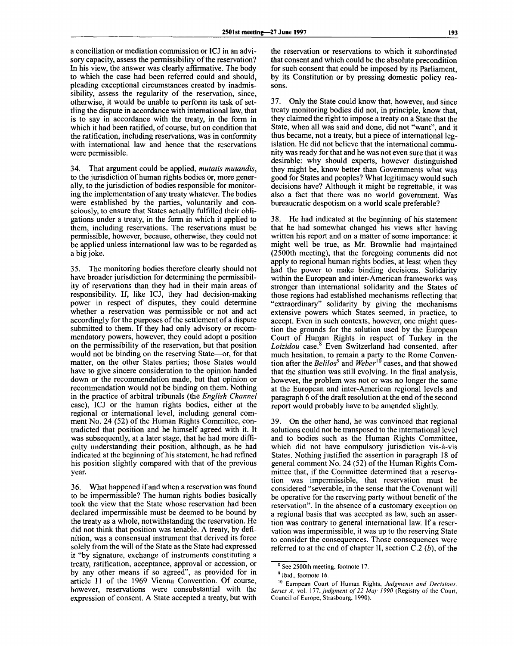a conciliation or mediation commission or ICJ in an advisory capacity, assess the permissibility of the reservation? In his view, the answer was clearly affirmative. The body to which the case had been referred could and should, pleading exceptional circumstances created by inadmissibility, assess the regularity of the reservation, since, otherwise, it would be unable to perform its task of settling the dispute in accordance with international law, that is to say in accordance with the treaty, in the form in which it had been ratified, of course, but on condition that the ratification, including reservations, was in conformity with international law and hence that the reservations were permissible.

34. That argument could be applied, *mutatis mutandis,* to the jurisdiction of human rights bodies or, more generally, to the jurisdiction of bodies responsible for monitoring the implementation of any treaty whatever. The bodies were established by the parties, voluntarily and consciously, to ensure that States actually fulfilled their obligations under a treaty, in the form in which it applied to them, including reservations. The reservations must be permissible, however, because, otherwise, they could not be applied unless international law was to be regarded as a big joke.

35. The monitoring bodies therefore clearly should not have broader jurisdiction for determining the permissibility of reservations than they had in their main areas of responsibility. If, like ICJ, they had decision-making power in respect of disputes, they could determine whether a reservation was permissible or not and act accordingly for the purposes of the settlement of a dispute submitted to them. If they had only advisory or recommendatory powers, however, they could adopt a position on the permissibility of the reservation, but that position would not be binding on the reserving State—or, for that matter, on the other States parties; those States would have to give sincere consideration to the opinion handed down or the recommendation made, but that opinion or recommendation would not be binding on them. Nothing in the practice of arbitral tribunals (the *English Channel* case), ICJ or the human rights bodies, either at the regional or international level, including general comment No. 24 (52) of the Human Rights Committee, contradicted that position and he himself agreed with it. It was subsequently, at a later stage, that he had more difficulty understanding their position, although, as he had indicated at the beginning of his statement, he had refined his position slightly compared with that of the previous year.

36. What happened if and when a reservation was found to be impermissible? The human rights bodies basically took the view that the State whose reservation had been declared impermissible must be deemed to be bound by the treaty as a whole, notwithstanding the reservation. He did not think that position was tenable. A treaty, by definition, was a consensual instrument that derived its force solely from the will of the State as the State had expressed it "by signature, exchange of instruments constituting a treaty, ratification, acceptance, approval or accession, or by any other means if so agreed", as provided for in article 11 of the 1969 Vienna Convention. Of course, however, reservations were consubstantial with the expression of consent. A State accepted a treaty, but with

the reservation or reservations to which it subordinated that consent and which could be the absolute precondition for such consent that could be imposed by its Parliament, by its Constitution or by pressing domestic policy reasons.

37. Only the State could know that, however, and since treaty monitoring bodies did not, in principle, know that, they claimed the right to impose a treaty on a State that the State, when all was said and done, did not "want", and it thus became, not a treaty, but a piece of international legislation. He did not believe that the international community was ready for that and he was not even sure that it was desirable: why should experts, however distinguished they might be, know better than Governments what was good for States and peoples? What legitimacy would such decisions have? Although it might be regrettable, it was also a fact that there was no world government. Was bureaucratic despotism on a world scale preferable?

38. He had indicated at the beginning of his statement that he had somewhat changed his views after having written his report and on a matter of some importance: it might well be true, as Mr. Brownlie had maintained (2500th meeting), that the foregoing comments did not apply to regional human rights bodies, at least when they had the power to make binding decisions. Solidarity within the European and inter-American frameworks was stronger than international solidarity and the States of those regions had established mechanisms reflecting that "extraordinary" solidarity by giving the mechanisms extensive powers which States seemed, in practice, to accept. Even in such contexts, however, one might question the grounds for the solution used by the European Court of Human Rights in respect of Turkey in the *Loizidou* case.<sup>8</sup> Even Switzerland had consented, after much hesitation, to remain a party to the Rome Convention after the *Belilos*<sup>9</sup> and *Weber*<sup>10</sup> cases, and that showed that the situation was still evolving. In the final analysis, however, the problem was not or was no longer the same at the European and inter-American regional levels and paragraph 6 of the draft resolution at the end of the second report would probably have to be amended slightly.

39. On the other hand, he was convinced that regional solutions could not be transposed to the international level and to bodies such as the Human Rights Committee, which did not have compulsory jurisdiction vis-à-vis States. Nothing justified the assertion in paragraph 18 of general comment No. 24 (52) of the Human Rights Committee that, if the Committee determined that a reservation was impermissible, that reservation must be considered "severable, in the sense that the Covenant will be operative for the reserving party without benefit of the reservation". In the absence of a customary exception on a regional basis that was accepted as law, such an assertion was contrary to general international law. If a reservation was impermissible, it was up to the reserving State to consider the consequences. Those consequences were referred to at the end of chapter II, section C.2 *(b),* of the

*h* See 2500th meeting, footnote 17.

<sup>&</sup>lt;sup>9</sup> Ibid., footnote 16.

<sup>10</sup> European Court of Human Rights, *Judgments and Decisions, Series A, vol. 177, judgment of 22 May 1990* (Registry of the Court, Council of Europe, Strasbourg, 1990).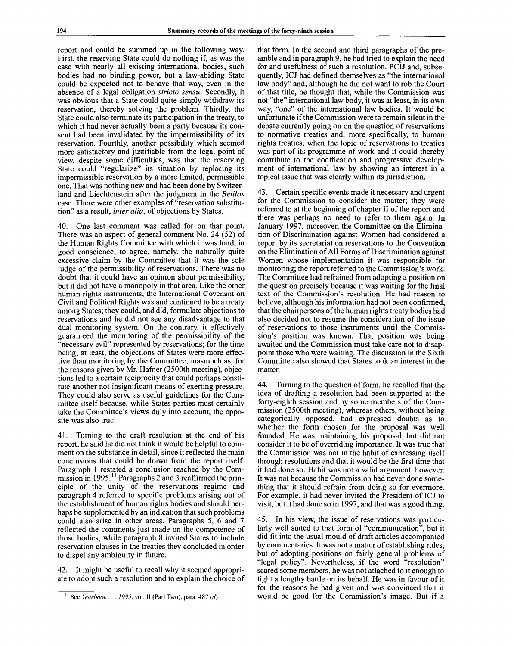report and could be summed up in the following way. First, the reserving State could do nothing if, as was the case with nearly all existing international bodies, such bodies had no binding power, but a law-abiding State could be expected not to behave that way, even in the absence of a legal obligation *stricto sensu.* Secondly, it was obvious that a State could quite simply withdraw its reservation, thereby solving the problem. Thirdly, the State could also terminate its participation in the treaty, to which it had never actually been a party because its consent had been invalidated by the impermissibility of its reservation. Fourthly, another possibility which seemed more satisfactory and justifiable from the legal point of view, despite some difficulties, was that the reserving State could "regularize" its situation by replacing its impermissible reservation by a more limited, permissible one. That was nothing new and had been done by Switzerland and Liechtenstein after the judgment in the *Belilos* case. There were other examples of "reservation substitution" as a result, *inter alia,* of objections by States.

40. One last comment was called for on that point. There was an aspect of general comment No. 24 (52) of the Human Rights Committee with which it was hard, in good conscience, to agree, namely, the naturally quite excessive claim by the Committee that it was the sole judge of the permissibility of reservations. There was no doubt that it could have an opinion about permissibility, but it did not have a monopoly in that area. Like the other human rights instruments, the International Covenant on Civil and Political Rights was and continued to be a treaty among States; they could, and did, formulate objections to reservations and he did not see any disadvantage to that dual monitoring system. On the contrary, it effectively guaranteed the monitoring of the permissibility of the "necessary evil" represented by reservations; for the time being, at least, the objections of States were more effective than monitoring by the Committee, inasmuch as, for the reasons given by Mr. Hafner (2500th meeting), objections led to a certain reciprocity that could perhaps constitute another not insignificant means of exerting pressure. They could also serve as useful guidelines for the Committee itself because, while States parties must certainly take the Committee's views duly into account, the opposite was also true.

41. Turning to the draft resolution at the end of his report, he said he did not think it would be helpful to comment on the substance in detail, since it reflected the main conclusions that could be drawn from the report itself. Paragraph 1 restated a conclusion reached by the Commission in 1995.<sup>11</sup> Paragraphs 2 and 3 reaffirmed the principle of the unity of the reservations regime and paragraph 4 referred to specific problems arising out of the establishment of human rights bodies and should perhaps be supplemented by an indication that such problems could also arise in other areas. Paragraphs 5, 6 and 7 reflected the comments just made on the competence of those bodies, while paragraph 8 invited States to include reservation clauses in the treaties they concluded in order to dispel any ambiguity in future.

42. It might be useful to recall why it seemed appropriate to adopt such a resolution and to explain the choice of

that form. In the second and third paragraphs of the preamble and in paragraph 9, he had tried to explain the need for and usefulness of such a resolution. PCIJ and, subsequently, ICJ had defined themselves as "the international law body" and, although he did not want to rob the Court of that title, he thought that, while the Commission was not "the" international law body, it was at least, in its own way, "one" of the international law bodies. It would be unfortunate if the Commission were to remain silent in the debate currently going on on the question of reservations to normative treaties and, more specifically, to human rights treaties, when the topic of reservations to treaties was part of its programme of work and it could thereby contribute to the codification and progressive development of international law by showing an interest in a topical issue that was clearly within its jurisdiction.

43. Certain specific events made it necessary and urgent for the Commission to consider the matter; they were referred to at the beginning of chapter II of the report and there was perhaps no need to refer to them again. In January 1997, moreover, the Committee on the Elimination of Discrimination against Women had considered a report by its secretariat on reservations to the Convention on the Elimination of All Forms of Discrimination against Women whose implementation it was responsible for monitoring; the report referred to the Commission's work. The Committee had refrained from adopting a position on the question precisely because it was waiting for the final text of the Commission's resolution. He had reason to believe, although his information had not been confirmed, that the chairpersons of the human rights treaty bodies had also decided not to resume the consideration of the issue of reservations to those instruments until the Commission's position was known. That position was being awaited and the Commission must take care not to disappoint those who were waiting. The discussion in the Sixth Committee also showed that States took an interest in the matter.

44. Turning to the question of form, he recalled that the idea of drafting a resolution had been supported at the forty-eighth session and by some members of the Commission (2500th meeting), whereas others, without being categorically opposed, had expressed doubts as to whether the form chosen for the proposal was well founded. He was maintaining his proposal, but did not consider it to be of overriding importance. It was true that the Commission was not in the habit of expressing itself through resolutions and that it would be the first time that it had done so. Habit was not a valid argument, however. It was not because the Commission had never done something that it should refrain from doing so for evermore. For example, it had never invited the President of ICJ to visit, but it had done so in 1997, and that was a good thing.

45. In his view, the issue of reservations was particularly well suited to that form of "communication", but it did fit into the usual mould of draft articles accompanied by commentaries. It was not a matter of establishing rules, but of adopting positions on fairly general problems of "legal policy". Nevertheless, if the word "resolution" scared some members, he was not attached to it enough to fight a lengthy battle on its behalf. He was in favour of it for the reasons he had given and was convinced that it would be good for the Commission's image. But if a

See *Yearbook . . . 1995,* vol. II (Part Two), para. 487 *(d).*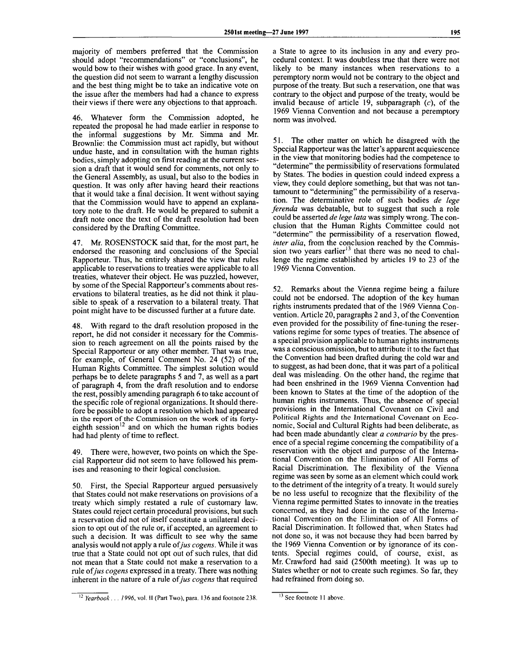majority of members preferred that the Commission should adopt "recommendations" or "conclusions", he would bow to their wishes with good grace. In any event, the question did not seem to warrant a lengthy discussion and the best thing might be to take an indicative vote on the issue after the members had had a chance to express their views if there were any objections to that approach.

46. Whatever form the Commission adopted, he repeated the proposal he had made earlier in response to the informal suggestions by Mr. Simma and Mr. Brownlie: the Commission must act rapidly, but without undue haste, and in consultation with the human rights bodies, simply adopting on first reading at the current session a draft that it would send for comments, not only to the General Assembly, as usual, but also to the bodies in question. It was only after having heard their reactions that it would take a final decision. It went without saying that the Commission would have to append an explanatory note to the draft. He would be prepared to submit a draft note once the text of the draft resolution had been considered by the Drafting Committee.

47. Mr. ROSENSTOCK said that, for the most part, he endorsed the reasoning and conclusions of the Special Rapporteur. Thus, he entirely shared the view that rules applicable to reservations to treaties were applicable to all treaties, whatever their object. He was puzzled, however, by some of the Special Rapporteur's comments about reservations to bilateral treaties, as he did not think it plausible to speak of a reservation to a bilateral treaty. That point might have to be discussed further at a future date.

48. With regard to the draft resolution proposed in the report, he did not consider it necessary for the Commission to reach agreement on all the points raised by the Special Rapporteur or any other member. That was true, for example, of General Comment No. 24 (52) of the Human Rights Committee. The simplest solution would perhaps be to delete paragraphs 5 and 7, as well as a part of paragraph 4, from the draft resolution and to endorse the rest, possibly amending paragraph 6 to take account of the specific role of regional organizations. It should therefore be possible to adopt a resolution which had appeared in the report of the Commission on the work of its fortyeighth session<sup>12</sup> and on which the human rights bodies had had plenty of time to reflect.

49. There were, however, two points on which the Special Rapporteur did not seem to have followed his premises and reasoning to their logical conclusion.

50. First, the Special Rapporteur argued persuasively that States could not make reservations on provisions of a treaty which simply restated a rule of customary law. States could reject certain procedural provisions, but such a reservation did not of itself constitute a unilateral decision to opt out of the rule or, if accepted, an agreement to such a decision. It was difficult to see why the same analysis would not apply a rule *of jus cogens.* While it was true that a State could not opt out of such rules, that did not mean that a State could not make a reservation to a rule *of jus cogens* expressed in a treaty. There was nothing inherent in the nature of a rule *of jus cogens* that required

12  *Yearbook .. . 1996,* vol. II (Part Two), para. 136 and footnote 238.

a State to agree to its inclusion in any and every procedural context. It was doubtless true that there were not likely to be many instances when reservations to a peremptory norm would not be contrary to the object and purpose of the treaty. But such a reservation, one that was contrary to the object and purpose of the treaty, would be invalid because of article 19, subparagraph  $(c)$ , of the 1969 Vienna Convention and not because a peremptory norm was involved.

51. The other matter on which he disagreed with the Special Rapporteur was the latter's apparent acquiescence in the view that monitoring bodies had the competence to "determine" the permissibility of reservations formulated by States. The bodies in question could indeed express a view, they could deplore something, but that was not tantamount to "determining" the permissibility of a reservation. The determinative role of such bodies *de lege ferenda* was debatable, but to suggest that such a role could be asserted *de lege lata* was simply wrong. The conclusion that the Human Rights Committee could not "determine" the permissibility of a reservation flowed, *inter alia,* from the conclusion reached by the Commission two years earlier<sup>13</sup> that there was no need to challenge the regime established by articles 19 to 23 of the 1969 Vienna Convention.

52. Remarks about the Vienna regime being a failure could not be endorsed. The adoption of the key human rights instruments predated that of the 1969 Vienna Convention. Article 20, paragraphs 2 and 3, of the Convention even provided for the possibility of fine-tuning the reservations regime for some types of treaties. The absence of a special provision applicable to human rights instruments was a conscious omission, but to attribute it to the fact that the Convention had been drafted during the cold war and to suggest, as had been done, that it was part of a political deal was misleading. On the other hand, the regime that had been enshrined in the 1969 Vienna Convention had been known to States at the time of the adoption of the human rights instruments. Thus, the absence of special provisions in the International Covenant on Civil and Political Rights and the International Covenant on Economic, Social and Cultural Rights had been deliberate, as had been made abundantly clear *a contrario* by the presence of a special regime concerning the compatibility of a reservation with the object and purpose of the International Convention on the Elimination of All Forms of Racial Discrimination. The flexibility of the Vienna regime was seen by some as an element which could work to the detriment of the integrity of a treaty. It would surely be no less useful to recognize that the flexibility of the Vienna regime permitted States to innovate in the treaties concerned, as they had done in the case of the International Convention on the Elimination of All Forms of Racial Discrimination. It followed that, when States had not done so, it was not because they had been barred by the 1969 Vienna Convention or by ignorance of its contents. Special regimes could, of course, exist, as Mr. Crawford had said (2500th meeting). It was up to States whether or not to create such regimes. So far, they had refrained from doing so.

<sup>&</sup>lt;sup>13</sup> See footnote 11 above.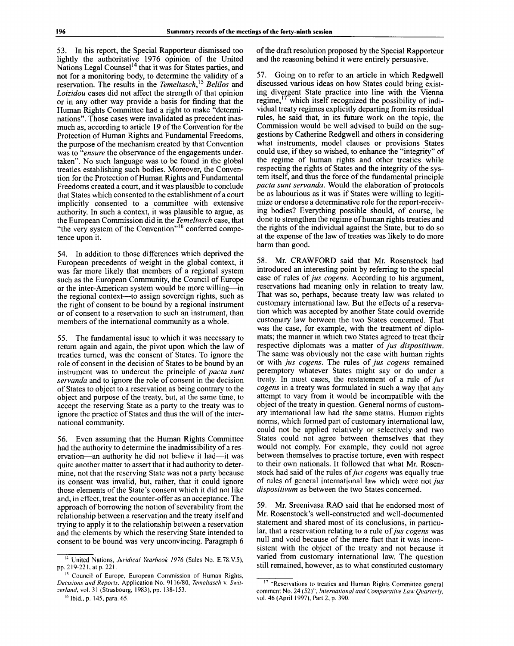53. In his report, the Special Rapporteur dismissed too lightly the authoritative 1976 opinion of the United Nations Legal Counsel<sup>14</sup> that it was for States parties, and not for a monitoring body, to determine the validity of a reservation. The results in the *Temeltasch}<sup>5</sup> Belilos* and *Loizidou* cases did not affect the strength of that opinion or in any other way provide a basis for finding that the Human Rights Committee had a right to make "determinations". Those cases were invalidated as precedent inasmuch as, according to article 19 of the Convention for the Protection of Human Rights and Fundamental Freedoms, the purpose of the mechanism created by that Convention was to *"ensure* the observance of the engagements undertaken". No such language was to be found in the global treaties establishing such bodies. Moreover, the Convention for the Protection of Human Rights and Fundamental Freedoms created a court, and it was plausible to conclude that States which consented to the establishment of a court implicitly consented to a committee with extensive authority. In such a context, it was plausible to argue, as the European Commission did in the *Temeltasch* case, that "the very system of the Convention"<sup>16</sup> conferred competence upon it.

54. In addition to those differences which deprived the European precedents of weight in the global context, it was far more likely that members of a regional system such as the European Community, the Council of Europe or the inter-American system would be more willing—in the regional context—to assign sovereign rights, such as the right of consent to be bound by a regional instrument or of consent to a reservation to such an instrument, than members of the international community as a whole.

55. The fundamental issue to which it was necessary to return again and again, the pivot upon which the law of treaties turned, was the consent of States. To ignore the role of consent in the decision of States to be bound by an instrument was to undercut the principle of *pacta sunt servanda* and to ignore the role of consent in the decision of States to object to a reservation as being contrary to the object and purpose of the treaty, but, at the same time, to accept the reserving State as a party to the treaty was to ignore the practice of States and thus the will of the international community.

56. Even assuming that the Human Rights Committee had the authority to determine the inadmissibility of a reservation—an authority he did not believe it had—it was quite another matter to assert that it had authority to determine, not that the reserving State was not a party because its consent was invalid, but, rather, that it could ignore those elements of the State's consent which it did not like and, in effect, treat the counter-offer as an acceptance. The approach of borrowing the notion of severability from the relationship between a reservation and the treaty itself and trying to apply it to the relationship between a reservation and the elements by which the reserving State intended to consent to be bound was very unconvincing. Paragraph 6

of the draft resolution proposed by the Special Rapporteur and the reasoning behind it were entirely persuasive.

57. Going on to refer to an article in which Redgwell discussed various ideas on how States could bring existing divergent State practice into line with the Vienna regime,<sup>17</sup> which itself recognized the possibility of individual treaty regimes explicitly departing from its residual rules, he said that, in its future work on the topic, the Commission would be well advised to build on the suggestions by Catherine Redgwell and others in considering what instruments, model clauses or provisions States could use, if they so wished, to enhance the "integrity" of the regime of human rights and other treaties while respecting the rights of States and the integrity of the system itself, and thus the force of the fundamental principle *pacta sunt servanda.* Would the elaboration of protocols be as labourious as it was if States were willing to legitimize or endorse a determinative role for the report-receiving bodies? Everything possible should, of course, be done to strengthen the regime of human rights treaties and the rights of the individual against the State, but to do so at the expense of the law of treaties was likely to do more harm than good.

58. Mr. CRAWFORD said that Mr. Rosenstock had introduced an interesting point by referring to the special case of rules of *jus cogens.* According to his argument, reservations had meaning only in relation to treaty law. That was so, perhaps, because treaty law was related to customary international law. But the effects of a reservation which was accepted by another State could override customary law between the two States concerned. That was the case, for example, with the treatment of diplomats; the manner in which two States agreed to treat their respective diplomats was a matter of *jus dispositivum.* The same was obviously not the case with human rights or with *jus cogens.* The rules of *jus cogens* remained peremptory whatever States might say or do under a treaty. In most cases, the restatement of a rule of *jus cogens* in a treaty was formulated in such a way that any attempt to vary from it would be incompatible with the object of the treaty in question. General norms of customary international law had the same status. Human rights norms, which formed part of customary international law, could not be applied relatively or selectively and two States could not agree between themselves that they would not comply. For example, they could not agree between themselves to practise torture, even with respect to their own nationals. It followed that what Mr. Rosenstock had said of the rules *of jus cogens* was equally true of rules of general international law which were *noijus dispositivum* as between the two States concerned.

59. Mr. Sreenivasa RAO said that he endorsed most of Mr. Rosenstock's well-constructed and well-documented statement and shared most of its conclusions, in particular, that a reservation relating to a rule of *jus cogens* was null and void because of the mere fact that it was inconsistent with the object of the treaty and not because it varied from customary international law. The question still remained, however, as to what constituted customary

<sup>&</sup>lt;sup>14</sup> United Nations, *Juridical Yearbook 1976* (Sales No. E.78.V.5), pp. 219-221, at p. 221.

<sup>&</sup>lt;sup>15</sup> Council of Europe, European Commission of Human Rights, *Decisions and Reports,* Application No. 91 16/80, *Temeltasch* v. *Switzerland,* vol. 31 (Strasbourg, 1983), pp. 138-153.

<sup>16</sup> Ibid., p. 145, para. 65.

<sup>&</sup>lt;sup>17</sup> "Reservations to treaties and Human Rights Committee general comment No. 24 (52)", *International and Comparative Law Quarterly,* vol. 46 (April 1997), Part 2, p. 390.